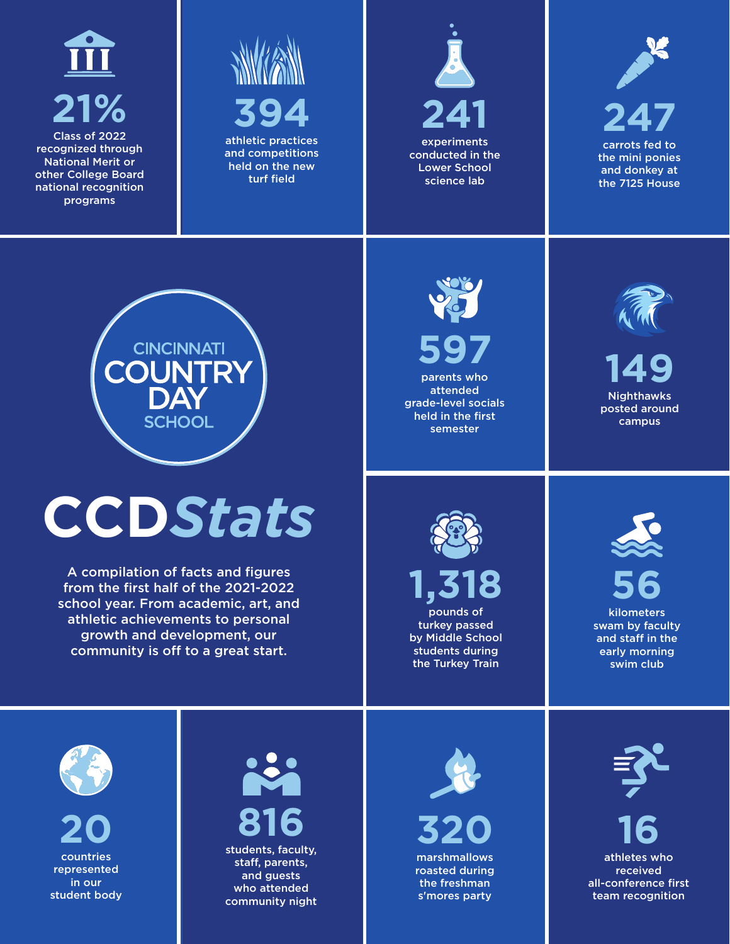

recognized through National Merit or other College Board national recognition programs



and competitions held on the new turf field





carrots fed to the mini ponies and donkey at the 7125 House



## **CCD***Stats*

A compilation of facts and figures from the first half of the 2021-2022 school year. From academic, art, and athletic achievements to personal growth and development, our community is off to a great start.



**597** parents who attended grade-level socials held in the first semester



**149 Nighthawks** posted around campus



**1,318** pounds of turkey passed by Middle School students during the Turkey Train



kilometers swam by faculty and staff in the early morning swim club



**20** countries represented in our student body

## **816**

students, faculty, staff, parents, and guests who attended community night



**320** marshmallows roasted during the freshman s'mores party



**16** athletes who **received** all-conference first team recognition